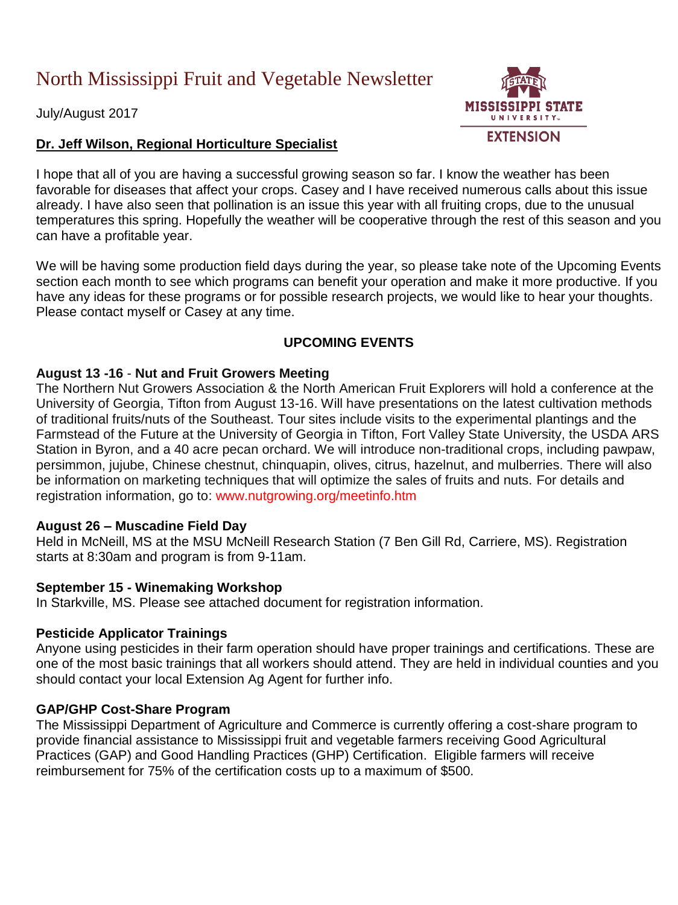# North Mississippi Fruit and Vegetable Newsletter

July/August 2017

# **Dr. Jeff Wilson, Regional Horticulture Specialist**

I hope that all of you are having a successful growing season so far. I know the weather has been favorable for diseases that affect your crops. Casey and I have received numerous calls about this issue already. I have also seen that pollination is an issue this year with all fruiting crops, due to the unusual temperatures this spring. Hopefully the weather will be cooperative through the rest of this season and you can have a profitable year.

We will be having some production field days during the year, so please take note of the Upcoming Events section each month to see which programs can benefit your operation and make it more productive. If you have any ideas for these programs or for possible research projects, we would like to hear your thoughts. Please contact myself or Casey at any time.

# **UPCOMING EVENTS**

### **August 13 -16** - **Nut and Fruit Growers Meeting**

The Northern Nut Growers Association & the North American Fruit Explorers will hold a conference at the University of Georgia, Tifton from August 13-16. Will have presentations on the latest cultivation methods of traditional fruits/nuts of the Southeast. Tour sites include visits to the experimental plantings and the Farmstead of the Future at the University of Georgia in Tifton, Fort Valley State University, the USDA ARS Station in Byron, and a 40 acre pecan orchard. We will introduce non-traditional crops, including pawpaw, persimmon, jujube, Chinese chestnut, chinquapin, olives, citrus, hazelnut, and mulberries. There will also be information on marketing techniques that will optimize the sales of fruits and nuts. For details and registration information, go to: [www.nutgrowing.org/meetinfo.htm](http://www.nutgrowing.org/meetinfo.htm) 

### **August 26 – Muscadine Field Day**

Held in McNeill, MS at the MSU McNeill Research Station (7 Ben Gill Rd, Carriere, MS). Registration starts at 8:30am and program is from 9-11am.

### **September 15 - Winemaking Workshop**

In Starkville, MS. Please see attached document for registration information.

### **Pesticide Applicator Trainings**

Anyone using pesticides in their farm operation should have proper trainings and certifications. These are one of the most basic trainings that all workers should attend. They are held in individual counties and you should contact your local Extension Ag Agent for further info.

### **GAP/GHP Cost-Share Program**

The Mississippi Department of Agriculture and Commerce is currently offering a cost-share program to provide financial assistance to Mississippi fruit and vegetable farmers receiving Good Agricultural Practices (GAP) and Good Handling Practices (GHP) Certification. Eligible farmers will receive reimbursement for 75% of the certification costs up to a maximum of \$500.

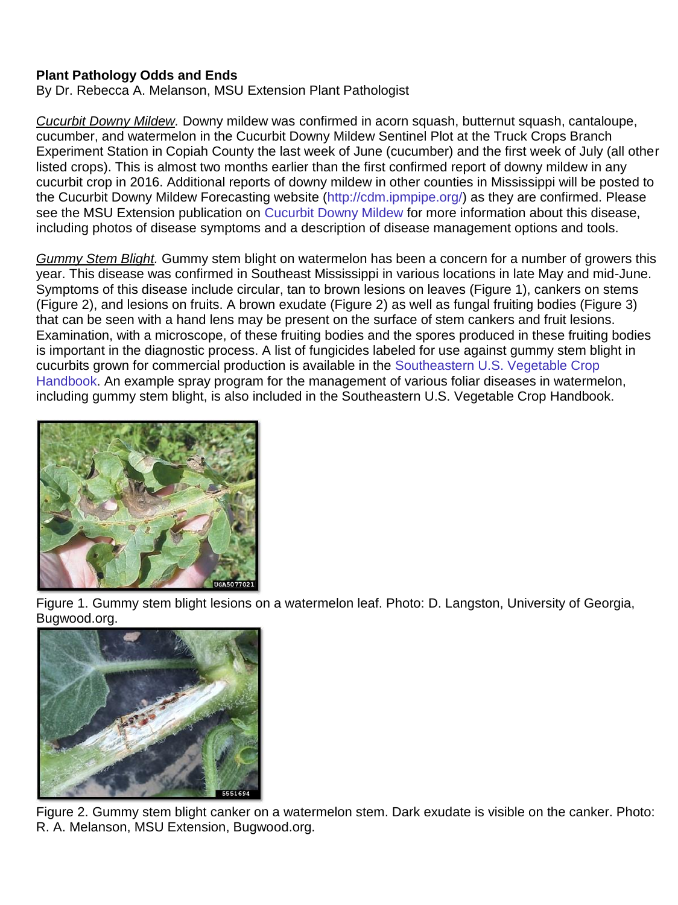# **Plant Pathology Odds and Ends**

By Dr. Rebecca A. Melanson, MSU Extension Plant Pathologist

*Cucurbit Downy Mildew.* Downy mildew was confirmed in acorn squash, butternut squash, cantaloupe, cucumber, and watermelon in the Cucurbit Downy Mildew Sentinel Plot at the Truck Crops Branch Experiment Station in Copiah County the last week of June (cucumber) and the first week of July (all other listed crops). This is almost two months earlier than the first confirmed report of downy mildew in any cucurbit crop in 2016. Additional reports of downy mildew in other counties in Mississippi will be posted to the Cucurbit Downy Mildew Forecasting website [\(http://cdm.ipmpipe.org/\)](http://cdm.ipmpipe.org/) as they are confirmed. Please see the MSU Extension publication on [Cucurbit Downy Mildew](https://extension.msstate.edu/sites/default/files/publications/publications/p3076.pdf) for more information about this disease, including photos of disease symptoms and a description of disease management options and tools.

*Gummy Stem Blight.* Gummy stem blight on watermelon has been a concern for a number of growers this year. This disease was confirmed in Southeast Mississippi in various locations in late May and mid-June. Symptoms of this disease include circular, tan to brown lesions on leaves (Figure 1), cankers on stems (Figure 2), and lesions on fruits. A brown exudate (Figure 2) as well as fungal fruiting bodies (Figure 3) that can be seen with a hand lens may be present on the surface of stem cankers and fruit lesions. Examination, with a microscope, of these fruiting bodies and the spores produced in these fruiting bodies is important in the diagnostic process. A list of fungicides labeled for use against gummy stem blight in cucurbits grown for commercial production is available in the [Southeastern U.S. Vegetable Crop](http://www.thepacker.com/sites/produce/files/2017_SEVG_web_Final_linked.pdf)  [Handbook.](http://www.thepacker.com/sites/produce/files/2017_SEVG_web_Final_linked.pdf) An example spray program for the management of various foliar diseases in watermelon, including gummy stem blight, is also included in the Southeastern U.S. Vegetable Crop Handbook.



Figure 1. Gummy stem blight lesions on a watermelon leaf. Photo: D. Langston, University of Georgia, Bugwood.org.



Figure 2. Gummy stem blight canker on a watermelon stem. Dark exudate is visible on the canker. Photo: R. A. Melanson, MSU Extension, Bugwood.org.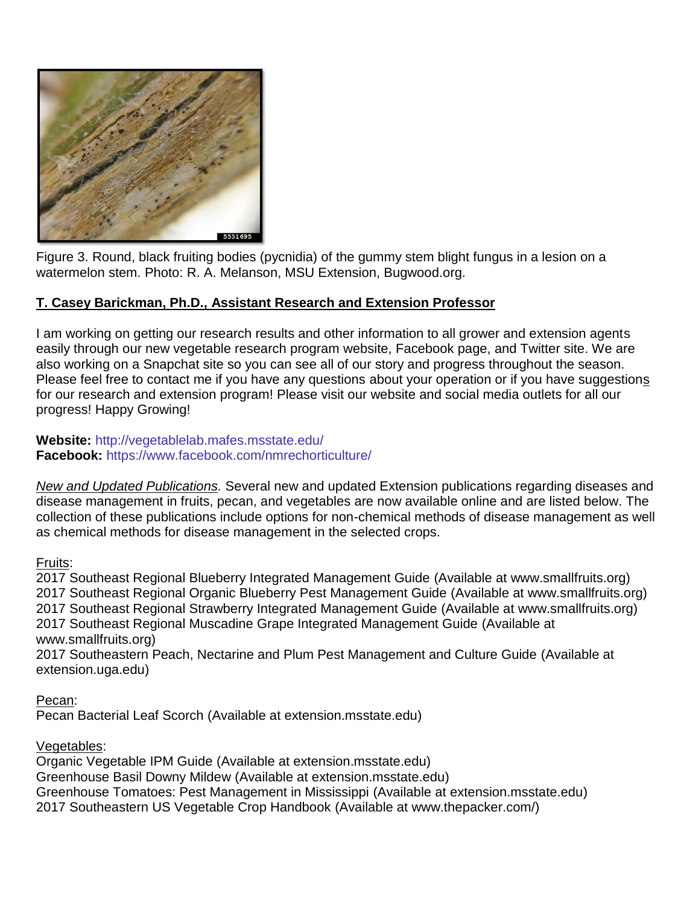

Figure 3. Round, black fruiting bodies (pycnidia) of the gummy stem blight fungus in a lesion on a watermelon stem. Photo: R. A. Melanson, MSU Extension, Bugwood.org.

# **T. Casey Barickman, Ph.D., Assistant Research and Extension Professor**

I am working on getting our research results and other information to all grower and extension agents easily through our new vegetable research program website, Facebook page, and Twitter site. We are also working on a Snapchat site so you can see all of our story and progress throughout the season. Please feel free to contact me if you have any questions about your operation or if you have suggestions for our research and extension program! Please visit our website and social media outlets for all our progress! Happy Growing!

### **Website:** <http://vegetablelab.mafes.msstate.edu/> **Facebook:** <https://www.facebook.com/nmrechorticulture/>

*New and Updated Publications.* Several new and updated Extension publications regarding diseases and disease management in fruits, pecan, and vegetables are now available online and are listed below. The collection of these publications include options for non-chemical methods of disease management as well as chemical methods for disease management in the selected crops.

### Fruits:

[2017 Southeast Regional Blueberry Integrated Management Guide](http://www.smallfruits.org/SmallFruitsRegGuide/Guides/2017/2017BlueberrySprayGuide.pdf) (Available at [www.smallfruits.org\)](http://www.smallfruits.org/) [2017 Southeast Regional Organic Blueberry Pest Management Guide](http://www.smallfruits.org/SmallFruitsRegGuide/Guides/2017/2017BlueberrySprayGuide.pdf) (Available at [www.smallfruits.org\)](http://www.smallfruits.org/) [2017 Southeast Regional Strawberry Integrated Management Guide](http://www.smallfruits.org/SmallFruitsRegGuide/Guides/2017/2017StrawberryIPMGuide_Final.pdf) (Available at [www.smallfruits.org\)](http://www.smallfruits.org/) [2017 Southeast Regional Muscadine Grape Integrated Management Guide](http://www.smallfruits.org/SmallFruitsRegGuide/Guides/2017/2017muscadineIMG_7mar17.pdf) (Available at [www.smallfruits.org\)](http://www.smallfruits.org/)

[2017 Southeastern Peach, Nectarine and Plum Pest Management and Culture Guide](http://extension.uga.edu/publications/files/pdf/B%201171_9.PDF) (Available at [extension.uga.edu\)](http://extension.uga.edu/)

Pecan:

[Pecan Bacterial Leaf Scorch](https://extension.msstate.edu/sites/default/files/publications/publications/P3005.pdf) (Available at [extension.msstate.edu\)](http://extension.msstate.edu/county-offices)

Vegetables:

[Organic Vegetable IPM Guide](http://extension.msstate.edu/publications/publications/organic-vegetable-ipm-guide) (Available at [extension.msstate.edu\)](http://extension.msstate.edu/county-offices) [Greenhouse Basil Downy Mildew](http://extension.msstate.edu/sites/default/files/publications/publications/p2936.pdf) (Available at [extension.msstate.edu\)](http://extension.msstate.edu/county-offices) [Greenhouse Tomatoes: Pest Management in Mississippi](http://extension.msstate.edu/sites/default/files/publications/publications/p1861.pdf) (Available at [extension.msstate.edu\)](http://extension.msstate.edu/county-offices) [2017 Southeastern US Vegetable Crop Handbook](http://www.thepacker.com/sites/produce/files/2017_SEVG_web_Final_linked.pdf) (Available at [www.thepacker.com/\)](http://www.thepacker.com/)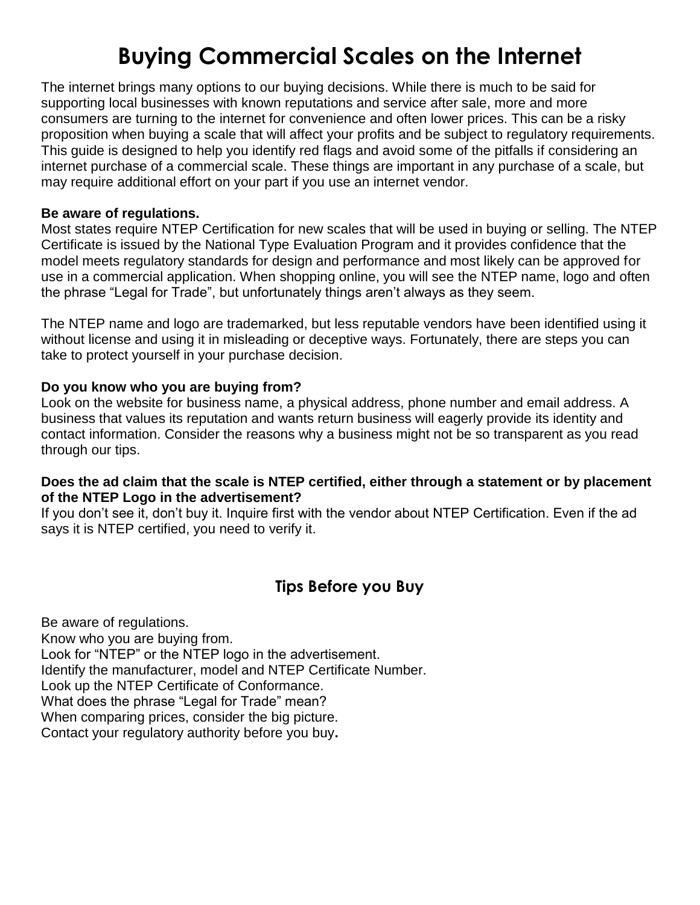# **Buying Commercial Scales on the Internet**

The internet brings many options to our buying decisions. While there is much to be said for supporting local businesses with known reputations and service after sale, more and more consumers are turning to the internet for convenience and often lower prices. This can be a risky proposition when buying a scale that will affect your profits and be subject to regulatory requirements. This guide is designed to help you identify red flags and avoid some of the pitfalls if considering an internet purchase of a commercial scale. These things are important in any purchase of a scale, but may require additional effort on your part if you use an internet vendor.

### **Be aware of regulations.**

Most states require NTEP Certification for new scales that will be used in buying or selling. The NTEP Certificate is issued by the National Type Evaluation Program and it provides confidence that the model meets regulatory standards for design and performance and most likely can be approved for use in a commercial application. When shopping online, you will see the NTEP name, logo and often the phrase "Legal for Trade", but unfortunately things aren't always as they seem.

The NTEP name and logo are trademarked, but less reputable vendors have been identified using it without license and using it in misleading or deceptive ways. Fortunately, there are steps you can take to protect yourself in your purchase decision.

### **Do you know who you are buying from?**

Look on the website for business name, a physical address, phone number and email address. A business that values its reputation and wants return business will eagerly provide its identity and contact information. Consider the reasons why a business might not be so transparent as you read through our tips.

### **Does the ad claim that the scale is NTEP certified, either through a statement or by placement of the NTEP Logo in the advertisement?**

If you don't see it, don't buy it. Inquire first with the vendor about NTEP Certification. Even if the ad says it is NTEP certified, you need to verify it.

# **Tips Before you Buy**

Be aware of regulations. Know who you are buying from. Look for "NTEP" or the NTEP logo in the advertisement. Identify the manufacturer, model and NTEP Certificate Number. Look up the NTEP Certificate of Conformance. What does the phrase "Legal for Trade" mean? When comparing prices, consider the big picture. Contact your regulatory authority before you buy**.**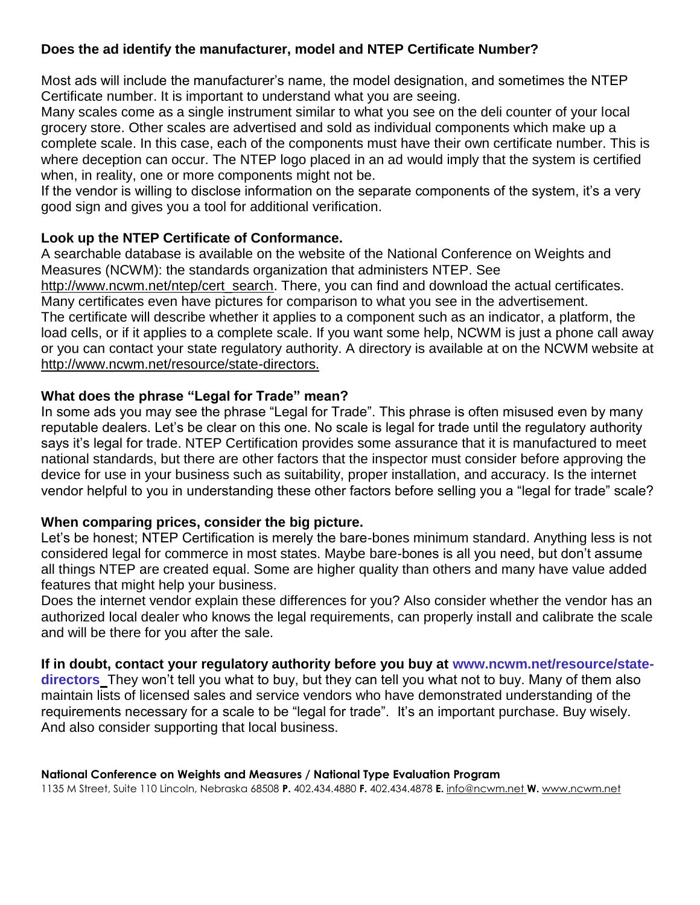# **Does the ad identify the manufacturer, model and NTEP Certificate Number?**

Most ads will include the manufacturer's name, the model designation, and sometimes the NTEP Certificate number. It is important to understand what you are seeing.

Many scales come as a single instrument similar to what you see on the deli counter of your local grocery store. Other scales are advertised and sold as individual components which make up a complete scale. In this case, each of the components must have their own certificate number. This is where deception can occur. The NTEP logo placed in an ad would imply that the system is certified when, in reality, one or more components might not be.

If the vendor is willing to disclose information on the separate components of the system, it's a very good sign and gives you a tool for additional verification.

### **Look up the NTEP Certificate of Conformance.**

A searchable database is available on the website of the National Conference on Weights and Measures (NCWM): the standards organization that administers NTEP. See http://www.ncwm.net/ntep/cert\_search. There, you can find and download the actual certificates. Many certificates even have pictures for comparison to what you see in the advertisement. The certificate will describe whether it applies to a component such as an indicator, a platform, the load cells, or if it applies to a complete scale. If you want some help, NCWM is just a phone call away or you can contact your state regulatory authority. A directory is available at on the NCWM website at

## http://www.ncwm.net/resource/state-directors.

### **What does the phrase "Legal for Trade" mean?**

In some ads you may see the phrase "Legal for Trade". This phrase is often misused even by many reputable dealers. Let's be clear on this one. No scale is legal for trade until the regulatory authority says it's legal for trade. NTEP Certification provides some assurance that it is manufactured to meet national standards, but there are other factors that the inspector must consider before approving the device for use in your business such as suitability, proper installation, and accuracy. Is the internet vendor helpful to you in understanding these other factors before selling you a "legal for trade" scale?

### **When comparing prices, consider the big picture.**

Let's be honest; NTEP Certification is merely the bare-bones minimum standard. Anything less is not considered legal for commerce in most states. Maybe bare-bones is all you need, but don't assume all things NTEP are created equal. Some are higher quality than others and many have value added features that might help your business.

Does the internet vendor explain these differences for you? Also consider whether the vendor has an authorized local dealer who knows the legal requirements, can properly install and calibrate the scale and will be there for you after the sale.

### **If in doubt, contact your regulatory authority before you buy at [www.ncwm.net/resource/state-](http://www.ncwm.net/resource/state-directors)**

**[directors](http://www.ncwm.net/resource/state-directors)** They won't tell you what to buy, but they can tell you what not to buy. Many of them also maintain lists of licensed sales and service vendors who have demonstrated understanding of the requirements necessary for a scale to be "legal for trade". It's an important purchase. Buy wisely. And also consider supporting that local business.